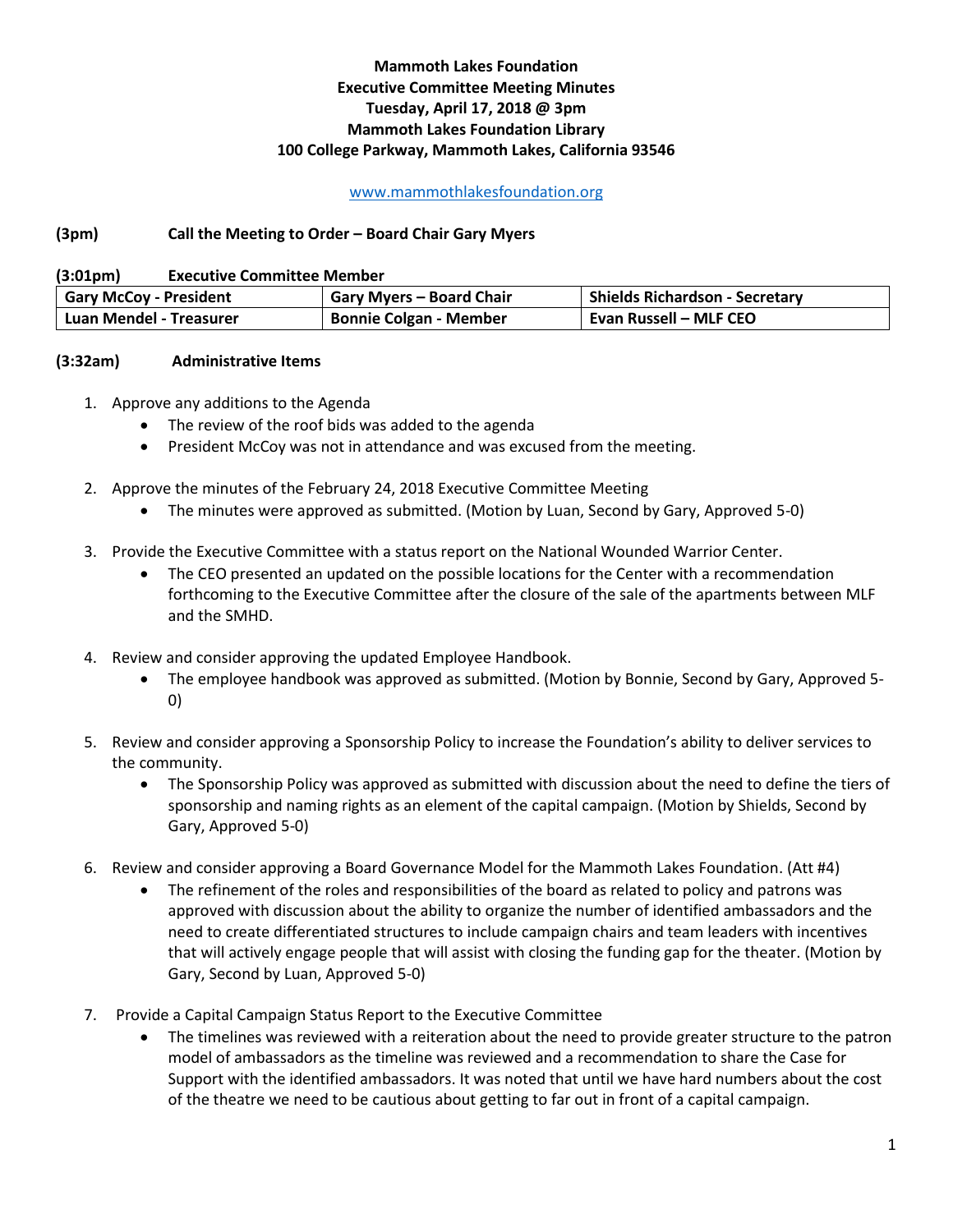## **Mammoth Lakes Foundation Executive Committee Meeting Minutes Tuesday, April 17, 2018 @ 3pm Mammoth Lakes Foundation Library 100 College Parkway, Mammoth Lakes, California 93546**

## [www.mammothlakesfoundation.org](http://www.mammothlakesfoundation.org/)

## **(3pm) Call the Meeting to Order – Board Chair Gary Myers**

**(3:01pm) Executive Committee Member** 

| Gary McCoy - President  | <b>Gary Myers - Board Chair</b> | <b>Shields Richardson - Secretary</b> |
|-------------------------|---------------------------------|---------------------------------------|
| Luan Mendel - Treasurer | <b>Bonnie Colgan - Member</b>   | Evan Russell – MLF CEO                |

## **(3:32am) Administrative Items**

- 1. Approve any additions to the Agenda
	- The review of the roof bids was added to the agenda
	- President McCoy was not in attendance and was excused from the meeting.
- 2. Approve the minutes of the February 24, 2018 Executive Committee Meeting
	- The minutes were approved as submitted. (Motion by Luan, Second by Gary, Approved 5-0)
- 3. Provide the Executive Committee with a status report on the National Wounded Warrior Center.
	- The CEO presented an updated on the possible locations for the Center with a recommendation forthcoming to the Executive Committee after the closure of the sale of the apartments between MLF and the SMHD.
- 4. Review and consider approving the updated Employee Handbook.
	- The employee handbook was approved as submitted. (Motion by Bonnie, Second by Gary, Approved 5- 0)
- 5. Review and consider approving a Sponsorship Policy to increase the Foundation's ability to deliver services to the community.
	- The Sponsorship Policy was approved as submitted with discussion about the need to define the tiers of sponsorship and naming rights as an element of the capital campaign. (Motion by Shields, Second by Gary, Approved 5-0)
- 6. Review and consider approving a Board Governance Model for the Mammoth Lakes Foundation. (Att #4)
	- The refinement of the roles and responsibilities of the board as related to policy and patrons was approved with discussion about the ability to organize the number of identified ambassadors and the need to create differentiated structures to include campaign chairs and team leaders with incentives that will actively engage people that will assist with closing the funding gap for the theater. (Motion by Gary, Second by Luan, Approved 5-0)
- 7. Provide a Capital Campaign Status Report to the Executive Committee
	- The timelines was reviewed with a reiteration about the need to provide greater structure to the patron model of ambassadors as the timeline was reviewed and a recommendation to share the Case for Support with the identified ambassadors. It was noted that until we have hard numbers about the cost of the theatre we need to be cautious about getting to far out in front of a capital campaign.